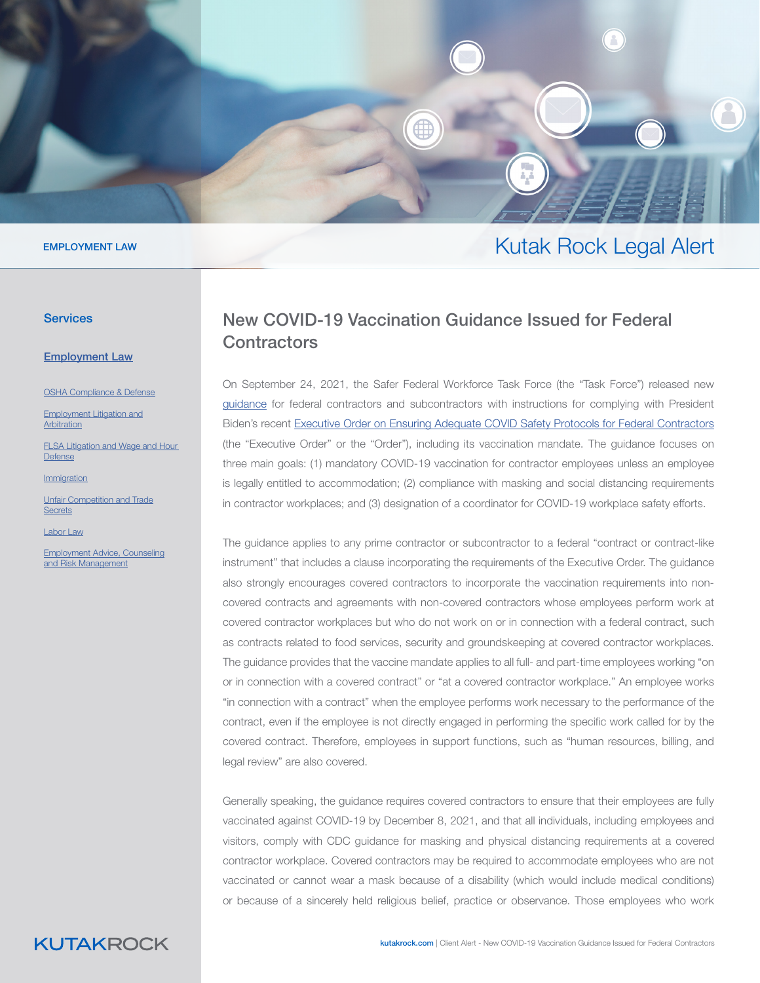

#### EMPLOYMENT LAW

#### **Services**

[Employ](https://www.kutakrock.com/services/practices/employment-law)ment Law

OSHA Compl[ia](https://www.kutakrock.com/services/practices/employment-law/osha-compliance-and-defense)nce & Defense

[Employment Litigation and](https://www.kutakrock.com/services/practices/employment-law/employment-litigation-and-arbitration) [Arbitration](https://www.kutakrock.com/services/practices/employment-law/employment-litigation-and-arbitration)

[FLSA Litigation and Wage and Hour](https://www.kutakrock.com/services/practices/employment-law/flsa-wage-and-hour-litigation)  [Defense](https://www.kutakrock.com/services/practices/employment-law/flsa-wage-and-hour-litigation)

[Immigration](https://www.kutakrock.com/services/practices/employment-law/immigration)

[Unfair Competition and Trade](https://www.kutakrock.com/services/practices/employment-law/unfair-competition-and-trade-secrets) **[Secrets](https://www.kutakrock.com/services/practices/employment-law/unfair-competition-and-trade-secrets)** 

[Labor Law](https://www.kutakrock.com/services/practices/employment-law/labor-law)

[Employment Advice, Counseling](https://www.kutakrock.com/services/practices/employment-law/employment-advice-counseling-and-risk-management) [and Risk Management](https://www.kutakrock.com/services/practices/employment-law/employment-advice-counseling-and-risk-management)

# Kutak Rock Legal Alert

## New COVID-19 Vaccination Guidance Issued for Federal **Contractors**

On September 24, 2021, the Safer Federal Workforce Task Force (the "Task Force") released new [guidance](https://www.saferfederalworkforce.gov/downloads/Draft contractor guidance doc_20210922.pdf) for federal contractors and subcontractors with instructions for complying with President Biden's recent [Executive Order on Ensuring Adequate COVID Safety Protocols for Federal Contractors](https://www.whitehouse.gov/briefing-room/presidential-actions/2021/09/09/executive-order-on-ensuring-adequate-covid-safety-protocols-for-federal-contractors/)  (the "Executive Order" or the "Order"), including its vaccination mandate. The guidance focuses on three main goals: (1) mandatory COVID-19 vaccination for contractor employees unless an employee is legally entitled to accommodation; (2) compliance with masking and social distancing requirements in contractor workplaces; and (3) designation of a coordinator for COVID-19 workplace safety efforts.

The guidance applies to any prime contractor or subcontractor to a federal "contract or contract-like instrument" that includes a clause incorporating the requirements of the Executive Order. The guidance also strongly encourages covered contractors to incorporate the vaccination requirements into noncovered contracts and agreements with non-covered contractors whose employees perform work at covered contractor workplaces but who do not work on or in connection with a federal contract, such as contracts related to food services, security and groundskeeping at covered contractor workplaces. The guidance provides that the vaccine mandate applies to all full- and part-time employees working "on or in connection with a covered contract" or "at a covered contractor workplace." An employee works "in connection with a contract" when the employee performs work necessary to the performance of the contract, even if the employee is not directly engaged in performing the specific work called for by the covered contract. Therefore, employees in support functions, such as "human resources, billing, and legal review" are also covered.

Generally speaking, the guidance requires covered contractors to ensure that their employees are fully vaccinated against COVID-19 by December 8, 2021, and that all individuals, including employees and visitors, comply with CDC guidance for masking and physical distancing requirements at a covered contractor workplace. Covered contractors may be required to accommodate employees who are not vaccinated or cannot wear a mask because of a disability (which would include medical conditions) or because of a sincerely held religious belief, practice or observance. Those employees who work

# **KUTAKROCK**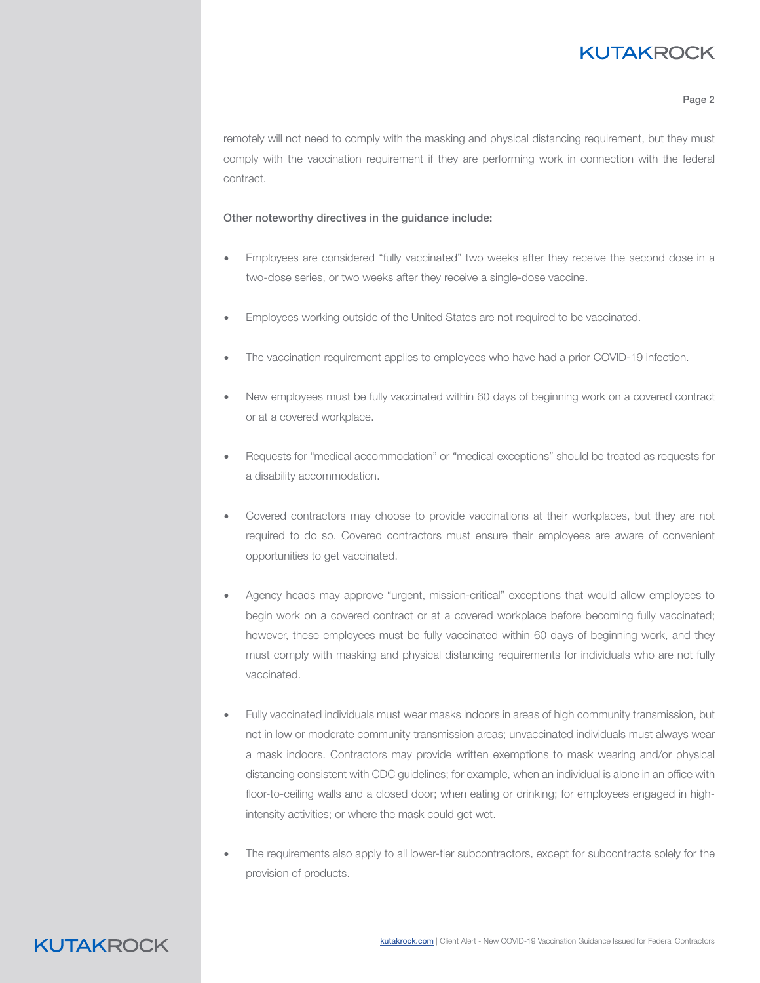# **KUTAKROCK**

#### Page 2

remotely will not need to comply with the masking and physical distancing requirement, but they must comply with the vaccination requirement if they are performing work in connection with the federal contract.

#### Other noteworthy directives in the guidance include:

- Employees are considered "fully vaccinated" two weeks after they receive the second dose in a two-dose series, or two weeks after they receive a single-dose vaccine.
- Employees working outside of the United States are not required to be vaccinated.
- The vaccination requirement applies to employees who have had a prior COVID-19 infection.
- New employees must be fully vaccinated within 60 days of beginning work on a covered contract or at a covered workplace.
- Requests for "medical accommodation" or "medical exceptions" should be treated as requests for a disability accommodation.
- Covered contractors may choose to provide vaccinations at their workplaces, but they are not required to do so. Covered contractors must ensure their employees are aware of convenient opportunities to get vaccinated.
- Agency heads may approve "urgent, mission-critical" exceptions that would allow employees to begin work on a covered contract or at a covered workplace before becoming fully vaccinated; however, these employees must be fully vaccinated within 60 days of beginning work, and they must comply with masking and physical distancing requirements for individuals who are not fully vaccinated.
- Fully vaccinated individuals must wear masks indoors in areas of high community transmission, but not in low or moderate community transmission areas; unvaccinated individuals must always wear a mask indoors. Contractors may provide written exemptions to mask wearing and/or physical distancing consistent with CDC guidelines; for example, when an individual is alone in an office with floor-to-ceiling walls and a closed door; when eating or drinking; for employees engaged in highintensity activities; or where the mask could get wet.
- The requirements also apply to all lower-tier subcontractors, except for subcontracts solely for the provision of products.

### **KUTAKROCK**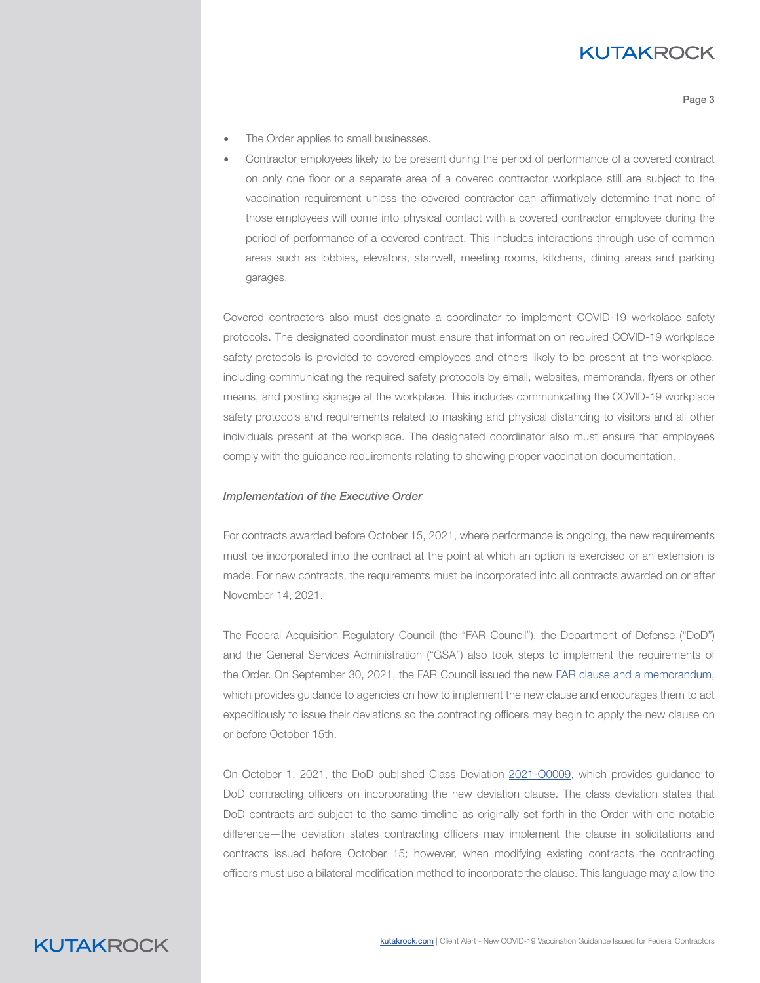## **KUTAKROCK**

Page 3

- The Order applies to small businesses.
- Contractor employees likely to be present during the period of performance of a covered contract on only one floor or a separate area of a covered contractor workplace still are subject to the vaccination requirement unless the covered contractor can affirmatively determine that none of those employees will come into physical contact with a covered contractor employee during the period of performance of a covered contract. This includes interactions through use of common areas such as lobbies, elevators, stairwell, meeting rooms, kitchens, dining areas and parking garages.

Covered contractors also must designate a coordinator to implement COVID-19 workplace safety protocols. The designated coordinator must ensure that information on required COVID-19 workplace safety protocols is provided to covered employees and others likely to be present at the workplace, including communicating the required safety protocols by email, websites, memoranda, flyers or other means, and posting signage at the workplace. This includes communicating the COVID-19 workplace safety protocols and requirements related to masking and physical distancing to visitors and all other individuals present at the workplace. The designated coordinator also must ensure that employees comply with the guidance requirements relating to showing proper vaccination documentation.

#### *Implementation of the Executive Order*

For contracts awarded before October 15, 2021, where performance is ongoing, the new requirements must be incorporated into the contract at the point at which an option is exercised or an extension is made. For new contracts, the requirements must be incorporated into all contracts awarded on or after November 14, 2021.

The Federal Acquisition Regulatory Council (the "FAR Council"), the Department of Defense ("DoD") and the General Services Administration ("GSA") also took steps to implement the requirements of the Order. On September 30, 2021, the FAR Council issued the new [FAR clause and a memorandum](https://www.whitehouse.gov/wp-content/uploads/2021/09/FAR-Council-Guidance-on-Agency-Issuance-of-Deviations-to-Implement-EO-14042.pdf), which provides guidance to agencies on how to implement the new clause and encourages them to act expeditiously to issue their deviations so the contracting officers may begin to apply the new clause on or before October 15th.

On October 1, 2021, the DoD published Class Deviation [2021-O0009](https://www.acq.osd.mil/dpap/policy/policyvault/USA001998-21-DPC.pdf), which provides guidance to DoD contracting officers on incorporating the new deviation clause. The class deviation states that DoD contracts are subject to the same timeline as originally set forth in the Order with one notable difference—the deviation states contracting officers may implement the clause in solicitations and contracts issued before October 15; however, when modifying existing contracts the contracting officers must use a bilateral modification method to incorporate the clause. This language may allow the

### **KUTAKROCK**